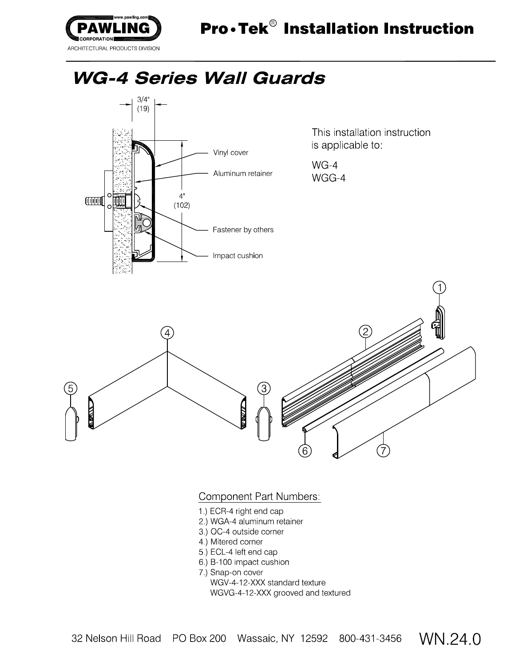

This installation instruction is applicable to

 $WG-4$ WGG-4



## Component Part Numbers:

- 1.) ECR-4 right end cap
- 2.) WGA-4 aluminum retainer
- 3) OC-4 outside corner
- 4) Mitered corner
- 5) ECL-4 left end cap
- 6) B-100 impact cushion
- 7.) Snap-on cover
	- WGV-4-12-XXX standard texture

WGVG-4-12-XXX grooved and textured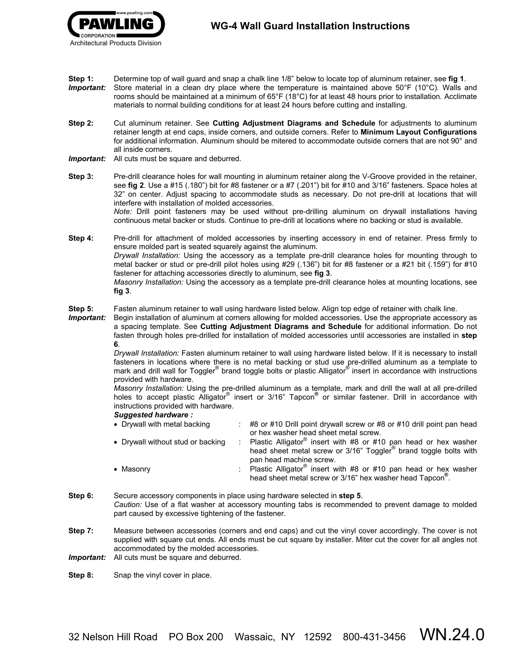- **Step 1:** Determine top of wall guard and snap a chalk line 1/8" below to locate top of aluminum retainer, see **fig 1**.
- *Important:*Store material in a clean dry place where the temperature is maintained above 50°F (10°C). Walls and rooms should be maintained at a minimum of 65°F (18°C) for at least 48 hours prior to installation. Acclimate materials to normal building conditions for at least 24 hours before cutting and installing.
- **Step 2:** Cut aluminum retainer. See **Cutting Adjustment Diagrams and Schedule** for adjustments to aluminum retainer length at end caps, inside corners, and outside corners. Refer to **Minimum Layout Configurations** for additional information. Aluminum should be mitered to accommodate outside corners that are not 90° and all inside corners.
- *Important:*All cuts must be square and deburred.
- **Step 3:** Pre-drill clearance holes for wall mounting in aluminum retainer along the V-Groove provided in the retainer, see **fig 2**. Use a #15 (.180") bit for #8 fastener or a #7 (.201") bit for #10 and 3/16" fasteners. Space holes at 32" on center. Adjust spacing to accommodate studs as necessary. Do not pre-drill at locations that will interfere with installation of molded accessories. *Note:* Drill point fasteners may be used without pre-drilling aluminum on drywall installations having continuous metal backer or studs. Continue to pre-drill at locations where no backing or stud is available.
- **Step 4:** Pre-drill for attachment of molded accessories by inserting accessory in end of retainer. Press firmly to ensure molded part is seated squarely against the aluminum. *Drywall Installation:* Using the accessory as a template pre-drill clearance holes for mounting through to metal backer or stud or pre-drill pilot holes using #29 (.136") bit for #8 fastener or a #21 bit (.159") for #10 fastener for attaching accessories directly to aluminum, see **fig 3**. *Masonry Installation:* Using the accessory as a template pre-drill clearance holes at mounting locations, see **fig 3**.
- **Step 5:** Fasten aluminum retainer to wall using hardware listed below. Align top edge of retainer with chalk line.
- *Important:*Begin installation of aluminum at corners allowing for molded accessories. Use the appropriate accessory as a spacing template. See **Cutting Adjustment Diagrams and Schedule** for additional information. Do not fasten through holes pre-drilled for installation of molded accessories until accessories are installed in **step 6**.

*Drywall Installation:* Fasten aluminum retainer to wall using hardware listed below. If it is necessary to install fasteners in locations where there is no metal backing or stud use pre-drilled aluminum as a template to mark and drill wall for Toggler<sup>®</sup> brand toggle bolts or plastic Alligator<sup>®</sup> insert in accordance with instructions provided with hardware.

*Masonry Installation:* Using the pre-drilled aluminum as a template, mark and drill the wall at all pre-drilled holes to accept plastic Alligator<sup>®</sup> insert or 3/16" Tapcon<sup>®</sup> or similar fastener. Drill in accordance with instructions provided with hardware.

## *Suggested hardware :*

| • Drywall with metal backing      | $\div$ #8 or #10 Drill point drywall screw or #8 or #10 drill point pan head                                                                                |
|-----------------------------------|-------------------------------------------------------------------------------------------------------------------------------------------------------------|
|                                   | or hex washer head sheet metal screw.                                                                                                                       |
| • Drywall without stud or backing | Plastic Alligator <sup>®</sup> insert with #8 or #10 pan head or hex washer<br>head sheet metal screw or 3/16" Toggler <sup>®</sup> brand toggle bolts with |
|                                   | pan head machine screw.                                                                                                                                     |
| • Masonry                         | : Plastic Alligator <sup>®</sup> insert with #8 or #10 pan head or hex washer<br>head sheet metal screw or 3/16" hex washer head Tapcon <sup>®</sup> .      |

- **Step 6:** Secure accessory components in place using hardware selected in **step 5**. *Caution:* Use of a flat washer at accessory mounting tabs is recommended to prevent damage to molded part caused by excessive tightening of the fastener.
- **Step 7:** Measure between accessories (corners and end caps) and cut the vinyl cover accordingly. The cover is not supplied with square cut ends. All ends must be cut square by installer. Miter cut the cover for all angles not accommodated by the molded accessories.
- *Important:*All cuts must be square and deburred.
- **Step 8:** Snap the vinyl cover in place.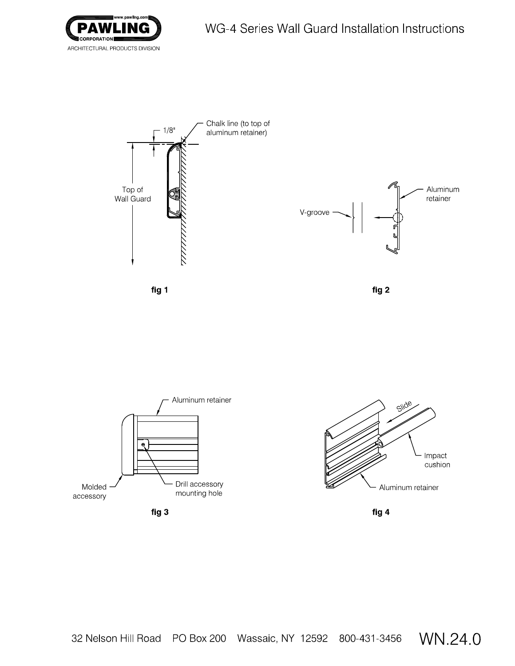



fig 3